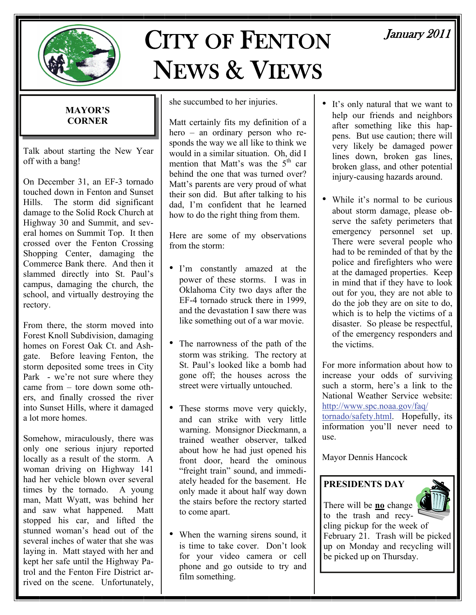

# CITY OF FENTON NEWS & VIEWS

# January 2011

#### **MAYOR'S CORNER**

Talk about starting the New Year off with a bang!

On December 31, an EF-3 tornado touched down in Fenton and Sunset Hills. The storm did significant damage to the Solid Rock Church at Highway 30 and Summit, and several homes on Summit Top. It then crossed over the Fenton Crossing Shopping Center, damaging the Commerce Bank there. And then it slammed directly into St. Paul's campus, damaging the church, the school, and virtually destroying the rectory.

From there, the storm moved into Forest Knoll Subdivision, damaging homes on Forest Oak Ct. and Ashgate. Before leaving Fenton, the storm deposited some trees in City Park - we're not sure where they came from – tore down some others, and finally crossed the river into Sunset Hills, where it damaged a lot more homes.

Somehow, miraculously, there was only one serious injury reported locally as a result of the storm. A woman driving on Highway 141 had her vehicle blown over several times by the tornado. A young man, Matt Wyatt, was behind her and saw what happened. Matt stopped his car, and lifted the stunned woman's head out of the several inches of water that she was laying in. Matt stayed with her and kept her safe until the Highway Patrol and the Fenton Fire District arrived on the scene. Unfortunately,

she succumbed to her injuries.

Matt certainly fits my definition of a hero – an ordinary person who responds the way we all like to think we would in a similar situation. Oh, did I mention that Matt's was the  $5<sup>th</sup>$  car behind the one that was turned over? Matt's parents are very proud of what their son did. But after talking to his dad, I'm confident that he learned how to do the right thing from them.

Here are some of my observations from the storm:

- I'm constantly amazed at the power of these storms. I was in Oklahoma City two days after the EF-4 tornado struck there in 1999, and the devastation I saw there was like something out of a war movie.
- The narrowness of the path of the storm was striking. The rectory at St. Paul's looked like a bomb had gone off; the houses across the street were virtually untouched.
- These storms move very quickly, and can strike with very little warning. Monsignor Dieckmann, a trained weather observer, talked about how he had just opened his front door, heard the ominous "freight train" sound, and immediately headed for the basement. He only made it about half way down the stairs before the rectory started to come apart.
- When the warning sirens sound, it is time to take cover. Don't look for your video camera or cell phone and go outside to try and film something.
- It's only natural that we want to help our friends and neighbors after something like this happens. But use caution; there will very likely be damaged power lines down, broken gas lines, broken glass, and other potential injury-causing hazards around.
- While it's normal to be curious about storm damage, please observe the safety perimeters that emergency personnel set up. There were several people who had to be reminded of that by the police and firefighters who were at the damaged properties. Keep in mind that if they have to look out for you, they are not able to do the job they are on site to do, which is to help the victims of a disaster. So please be respectful, of the emergency responders and the victims.

For more information about how to increase your odds of surviving such a storm, here's a link to the National Weather Service website: [http://www.spc.noaa.gov/faq/](http://www.spc.noaa.gov/faq/tornado/safety.html) [tornado/safety.html](http://www.spc.noaa.gov/faq/tornado/safety.html). Hopefully, its information you'll never need to use.

Mayor Dennis Hancock

# **PRESIDENTS DAY**



There will be **no** change to the trash and recycling pickup for the week of February 21. Trash will be picked up on Monday and recycling will be picked up on Thursday.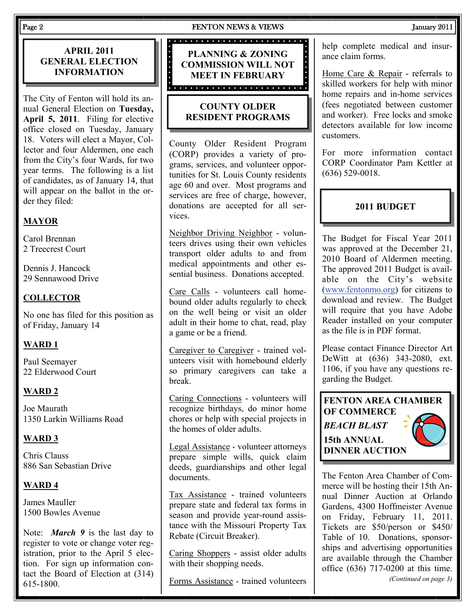# **APRIL 2011 GENERAL ELECTION INFORMATION**

The City of Fenton will hold its annual General Election on **Tuesday, April 5, 2011**. Filing for elective office closed on Tuesday, January 18. Voters will elect a Mayor, Collector and four Aldermen, one each from the City's four Wards, for two year terms. The following is a list of candidates, as of January 14, that will appear on the ballot in the order they filed:

# **MAYOR**

Carol Brennan 2 Treecrest Court

Dennis J. Hancock 29 Sennawood Drive

# **COLLECTOR**

No one has filed for this position as of Friday, January 14

### **WARD 1**

Paul Seemayer 22 Elderwood Court

### **WARD 2**

Joe Maurath 1350 Larkin Williams Road

# **WARD 3**

Chris Clauss 886 San Sebastian Drive

### **WARD 4**

James Mauller 1500 Bowles Avenue

Note: *March 9* is the last day to register to vote or change voter registration, prior to the April 5 election. For sign up information contact the Board of Election at (314) 615-1800.

#### Page 2 **FENTON NEWS & VIEWS** January 2011

**PLANNING & ZONING COMMISSION WILL NOT MEET IN FEBRUARY** 

# **COUNTY OLDER RESIDENT PROGRAMS**

County Older Resident Program (CORP) provides a variety of programs, services, and volunteer opportunities for St. Louis County residents age 60 and over. Most programs and services are free of charge, however, donations are accepted for all services.

Neighbor Driving Neighbor - volunteers drives using their own vehicles transport older adults to and from medical appointments and other essential business. Donations accepted.

Care Calls - volunteers call homebound older adults regularly to check on the well being or visit an older adult in their home to chat, read, play a game or be a friend.

Caregiver to Caregiver - trained volunteers visit with homebound elderly so primary caregivers can take a break.

Caring Connections - volunteers will recognize birthdays, do minor home chores or help with special projects in the homes of older adults.

Legal Assistance - volunteer attorneys prepare simple wills, quick claim deeds, guardianships and other legal documents.

Tax Assistance - trained volunteers prepare state and federal tax forms in season and provide year-round assistance with the Missouri Property Tax Rebate (Circuit Breaker).

Caring Shoppers - assist older adults with their shopping needs.

Forms Assistance - trained volunteers

#### help complete medical and insurance claim forms.

Home Care & Repair - referrals to skilled workers for help with minor home repairs and in-home services (fees negotiated between customer and worker). Free locks and smoke detectors available for low income customers.

For more information contact CORP Coordinator Pam Kettler at (636) 529-0018.

# **2011 BUDGET**

The Budget for Fiscal Year 2011 was approved at the December 21, 2010 Board of Aldermen meeting. The approved 2011 Budget is available on the City's website [\(www.fentonmo.org](http://www.fentonmo.org)) for citizens to download and review. The Budget will require that you have Adobe Reader installed on your computer as the file is in PDF format.

Please contact Finance Director Art DeWitt at (636) 343-2080, ext. 1106, if you have any questions regarding the Budget.

**FENTON AREA CHAMBER OF COMMERCE**  *BEACH BLAST*  **15th ANNUAL DINNER AUCTION** 

The Fenton Area Chamber of Commerce will be hosting their 15th Annual Dinner Auction at Orlando Gardens, 4300 Hoffmeister Avenue on Friday, February 11, 2011. Tickets are \$50/person or \$450/ Table of 10. Donations, sponsorships and advertising opportunities are available through the Chamber office (636) 717-0200 at this time. *(Continued on page 3)*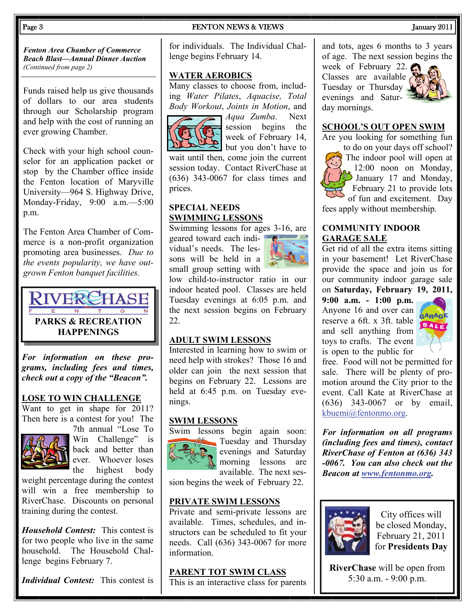#### Page 3 **FENTON NEWS & VIEWS FENTON NEWS 1** January 2011

*Fenton Area Chamber of Commerce Beach Blast—Annual Dinner Auction (Continued from page 2)* 

Funds raised help us give thousands of dollars to our area students through our Scholarship program and help with the cost of running an ever growing Chamber.

Check with your high school counselor for an application packet or stop by the Chamber office inside the Fenton location of Maryville University—964 S. Highway Drive, Monday-Friday, 9:00 a.m.—5:00 p.m.

The Fenton Area Chamber of Commerce is a non-profit organization promoting area businesses. *Due to the events popularity, we have outgrown Fenton banquet facilities.*



*For information on these programs, including fees and times, check out a copy of the "Beacon".* 

#### **LOSE TO WIN CHALLENGE**

Want to get in shape for 2011? Then here is a contest for you! The



7th annual "Lose To Win Challenge" is back and better than ever. Whoever loses the highest body

weight percentage during the contest will win a free membership to RiverChase. Discounts on personal training during the contest.

*Household Contest:* This contest is for two people who live in the same household. The Household Challenge begins February 7.

*Individual Contest:* This contest is

for individuals. The Individual Challenge begins February 14.

#### **WATER AEROBICS**

Many classes to choose from, including *Water Pilates*, *Aquacise, Total Body Workout*, *Joints in Motion*, and



*Aqua Zumba*. Next session begins the week of February 14, but you don't have to

wait until then, come join the current session today. Contact RiverChase at (636) 343-0067 for class times and prices.

#### **SPECIAL NEEDS SWIMMING LESSONS**

Swimming lessons for ages 3-16, are geared toward each indi- $\bullet$ <sup> $\bullet$ </sup> vidual's needs. The lessons will be held in a small group setting with



low child-to-instructor ratio in our indoor heated pool. Classes are held Tuesday evenings at 6:05 p.m. and the next session begins on February 22.

#### **ADULT SWIM LESSONS**

Interested in learning how to swim or need help with strokes? Those 16 and older can join the next session that begins on February 22. Lessons are held at 6:45 p.m. on Tuesday evenings.

#### **SWIM LESSONS**



Swim lessons begin again soon: **Tuesday and Thursday** evenings and Saturday morning lessons are available. The next ses-

sion begins the week of February 22.

### **PRIVATE SWIM LESSONS**

Private and semi-private lessons are available. Times, schedules, and instructors can be scheduled to fit your needs. Call (636) 343-0067 for more information.

### **PARENT TOT SWIM CLASS**

This is an interactive class for parents

and tots, ages 6 months to 3 years of age. The next session begins the

week of February 22. Classes are available Tuesday or Thursday evenings and Saturday mornings.



#### **SCHOOL'S OUT OPEN SWIM**

Are you looking for something fun

to do on your days off school? The indoor pool will open at 12:00 noon on Monday, January 17 and Monday, February 21 to provide lots of fun and excitement. Day

fees apply without membership.

#### **COMMUNITY INDOOR GARAGE SALE**

Get rid of all the extra items sitting in your basement! Let RiverChase provide the space and join us for our community indoor garage sale on **Saturday, February 19, 2011,** 

**9:00 a.m. - 1:00 p.m.** Anyone 16 and over can reserve a 6ft. x 3ft. table and sell anything from toys to crafts. The event is open to the public for



free. Food will not be permitted for sale. There will be plenty of promotion around the City prior to the event. Call Kate at RiverChase at (636) 343-0067 or by email, [kbuemi@fentonmo.org](mailto:kbuemi@fentonmo.org).

*For information on all programs (including fees and times), contact RiverChase of Fenton at (636) 343 -0067. You can also check out the Beacon at [www.fentonmo.org](http://www.fentonmo.org).*



City offices will be closed Monday, February 21, 2011 for **Presidents Day** 

**RiverChase** will be open from 5:30 a.m. - 9:00 p.m.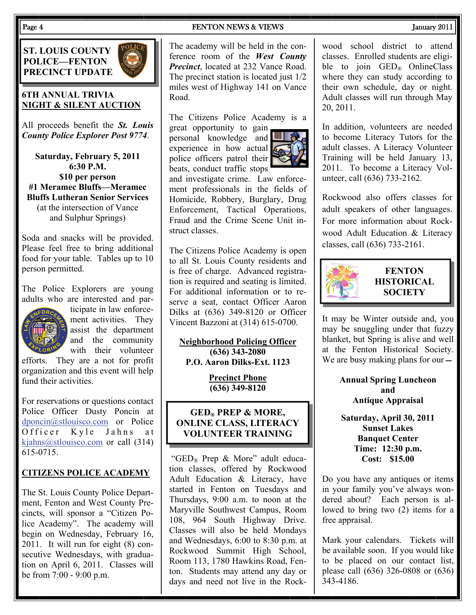### **ST. LOUIS COUNTY POLICE—FENTON PRECINCT UPDATE**



# **6TH ANNUAL TRIVIA NIGHT & SILENT AUCTION**

All proceeds benefit the *St. Louis County Police Explorer Post 9774*.

**Saturday, February 5, 2011 6:30 P.M. \$10 per person #1 Meramec Bluffs—Meramec Bluffs Lutheran Senior Services**  (at the intersection of Vance and Sulphur Springs)

Soda and snacks will be provided. Please feel free to bring additional food for your table. Tables up to 10 person permitted.

The Police Explorers are young adults who are interested and par-



ticipate in law enforcement activities. They assist the department and the community with their volunteer

efforts. They are a not for profit organization and this event will help fund their activities.

For reservations or questions contact Police Officer Dusty Poncin at [dponcin@stlouisco.com](mailto:dponcin@stlouisco.com) or Police Officer Kyle Jahns at [kjahns@stlouisco.com](mailto:kjahns@stlouisco.com) or call (314) 615-0715.

### **CITIZENS POLICE ACADEMY**

The St. Louis County Police Department, Fenton and West County Precincts, will sponsor a "Citizen Police Academy". The academy will begin on Wednesday, February 16, 2011. It will run for eight (8) consecutive Wednesdays, with graduation on April 6, 2011. Classes will be from 7:00 - 9:00 p.m.

#### Page 4 **FENTON NEWS & VIEWS** 3 January 2011

The academy will be held in the conference room of the *West County Precinct*, located at 232 Vance Road. The precinct station is located just 1/2 miles west of Highway 141 on Vance Road.

The Citizens Police Academy is a

great opportunity to gain personal knowledge and **IIII** experience in how actual police officers patrol their beats, conduct traffic stops



and investigate crime. Law enforcement professionals in the fields of Homicide, Robbery, Burglary, Drug Enforcement, Tactical Operations, Fraud and the Crime Scene Unit instruct classes.

The Citizens Police Academy is open to all St. Louis County residents and is free of charge. Advanced registration is required and seating is limited. For additional information or to reserve a seat, contact Officer Aaron Dilks at (636) 349-8120 or Officer Vincent Bazzoni at (314) 615-0700.

**Neighborhood Policing Officer (636) 343-2080 P.O. Aaron Dilks-Ext. 1123** 

> **Precinct Phone (636) 349-8120**

# **GED® PREP & MORE, ONLINE CLASS, LITERACY VOLUNTEER TRAINING**

 "GED® Prep & More" adult education classes, offered by Rockwood Adult Education & Literacy, have started in Fenton on Tuesdays and Thursdays, 9:00 a.m. to noon at the Maryville Southwest Campus, Room 108, 964 South Highway Drive. Classes will also be held Mondays and Wednesdays, 6:00 to 8:30 p.m. at Rockwood Summit High School, Room 113, 1780 Hawkins Road, Fenton. Students may attend any day or days and need not live in the Rockwood school district to attend classes. Enrolled students are eligible to join  $GED_{\mathcal{R}}$  OnlineClass where they can study according to their own schedule, day or night. Adult classes will run through May 20, 2011.

In addition, volunteers are needed to become Literacy Tutors for the adult classes. A Literacy Volunteer Training will be held January 13, 2011. To become a Literacy Volunteer, call (636) 733-2162.

Rockwood also offers classes for adult speakers of other languages. For more information about Rockwood Adult Education & Literacy classes, call (636) 733-2161.



# **FENTON HISTORICAL SOCIETY**

It may be Winter outside and, you may be snuggling under that fuzzy blanket, but Spring is alive and well at the Fenton Historical Society. We are busy making plans for our —

> **Annual Spring Luncheon and Antique Appraisal**

**Saturday, April 30, 2011 Sunset Lakes Banquet Center Time: 12:30 p.m. Cost: \$15.00** 

Do you have any antiques or items in your family you've always wondered about? Each person is allowed to bring two (2) items for a free appraisal.

Mark your calendars. Tickets will be available soon. If you would like to be placed on our contact list, please call (636) 326-0808 or (636) 343-4186.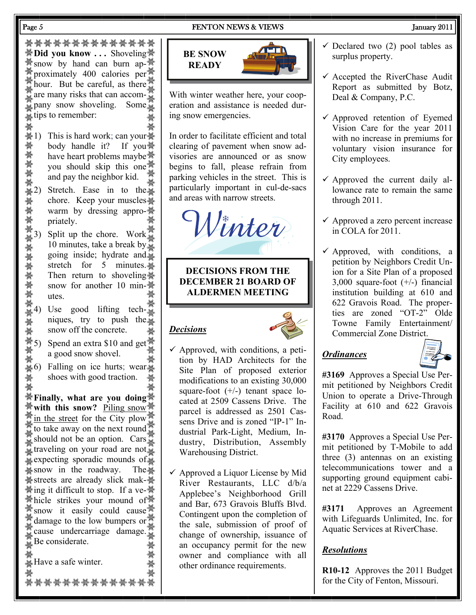#### Page 5 **FENTON NEWS & VIEWS** FENTON NEWS 30 11

ลีก ซีเรีย เมื่อง<br>พี่เรีย ซีเรีย เมื่อง เมื่อง ซีเรีย เมื่อง เมื่อง เมื่อง เมื่อง เมื่อง เมื่อง เมื่อง เมื่อง เมื่อง เมื่อง เมื่ **※Did you know ...** Shoveling ※  $\frac{1}{2}$  snow by hand can burn ap- $\frac{1}{2}$ proximately 400 calories per  $\frac{1}{2}$  $\frac{100}{100}$  hour. But be careful, as there are many risks that can accom- $\frac{2}{36}$ pany snow shoveling. Some tips to remember:

- 1) This is hard work; can your body handle it? If you have heart problems maybe<sup>®</sup> you should skip this one and pay the neighbor kid.
- 2) Stretch. Ease in to the chore. Keep your muscles warm by dressing appropriately.
- 3) Split up the chore. Work 10 minutes, take a break by going inside; hydrate and stretch for 5 minutes. Then return to shoveling snow for another 10 minutes.
- 4) Use good lifting techniques, try to push the snow off the concrete.
- 5) Spend an extra \$10 and get a good snow shovel.
- 6) Falling on ice hurts; wear shoes with good traction.

**Finally, what are you doing with this snow?** Piling snow. in the street for the City plow  $\frac{36}{25}$ to take away on the next round should not be an option. Cars traveling on your road are not. expecting sporadic mounds of  $\frac{20}{36}$  snow in the roadway. The  $\frac{20}{36}$ **\*streets** are already slick mak-\* **\***ing it difficult to stop. If a ve-\* **Whicle strikes your mound of W**  $\ddot{\ddot{\mathcal{R}}}$  snow it easily could cause damage to the low bumpers or  $\frac{1}{2}$  cause undercarriage damage.  $B$ e considerate.

**A**Have a safe winter.

સ્કૂફિત એફ્ટ્રીક એફ્ટ્રીક અર્થુટિવ કે અને આ અને આ અને આ અને આ અને આ અને આ અને આ અને આ અને આ અને આ અને આ અને અન<br>સ્કૂફિત એફ્ટ્રીક એફ્ટ્રીક અને આ અને આ અને આ અને આ અને આ અને આ અને આ અને આ અને આ અને આ અને આ અને આ અને આ અને અન

# **BE SNOW READY**



With winter weather here, your cooperation and assistance is needed during snow emergencies.

In order to facilitate efficient and total clearing of pavement when snow advisories are announced or as snow begins to fall, please refrain from parking vehicles in the street. This is particularly important in cul-de-sacs and areas with narrow streets.

Winter

**DECISIONS FROM THE DECEMBER 21 BOARD OF ALDERMEN MEETING** 

# *Decisions*



- $\checkmark$  Approved, with conditions, a petition by HAD Architects for the Site Plan of proposed exterior modifications to an existing 30,000 square-foot (+/-) tenant space located at 2509 Cassens Drive. The parcel is addressed as 2501 Cassens Drive and is zoned "IP-1" Industrial Park-Light, Medium, Industry, Distribution, Assembly Warehousing District.
- $\checkmark$  Approved a Liquor License by Mid River Restaurants, LLC d/b/a Applebee's Neighborhood Grill and Bar, 673 Gravois Bluffs Blvd. Contingent upon the completion of the sale, submission of proof of change of ownership, issuance of an occupancy permit for the new owner and compliance with all other ordinance requirements.
- $\checkmark$  Declared two (2) pool tables as surplus property.
- $\checkmark$  Accepted the RiverChase Audit Report as submitted by Botz, Deal & Company, P.C.
- $\checkmark$  Approved retention of Eyemed Vision Care for the year 2011 with no increase in premiums for voluntary vision insurance for City employees.
- $\checkmark$  Approved the current daily allowance rate to remain the same through 2011.
- $\checkmark$  Approved a zero percent increase in COLA for 2011.
- $\checkmark$  Approved, with conditions, a petition by Neighbors Credit Union for a Site Plan of a proposed 3,000 square-foot (+/-) financial institution building at 610 and 622 Gravois Road. The properties are zoned "OT-2" Olde Towne Family Entertainment/ Commercial Zone District.

### *Ordinances*



**#3169** Approves a Special Use Permit petitioned by Neighbors Credit Union to operate a Drive-Through Facility at 610 and 622 Gravois Road.

**#3170** Approves a Special Use Permit petitioned by T-Mobile to add three (3) antennas on an existing telecommunications tower and a supporting ground equipment cabinet at 2229 Cassens Drive.

**#3171** Approves an Agreement with Lifeguards Unlimited, Inc. for Aquatic Services at RiverChase.

### *Resolutions*

**R10-12** Approves the 2011 Budget for the City of Fenton, Missouri.